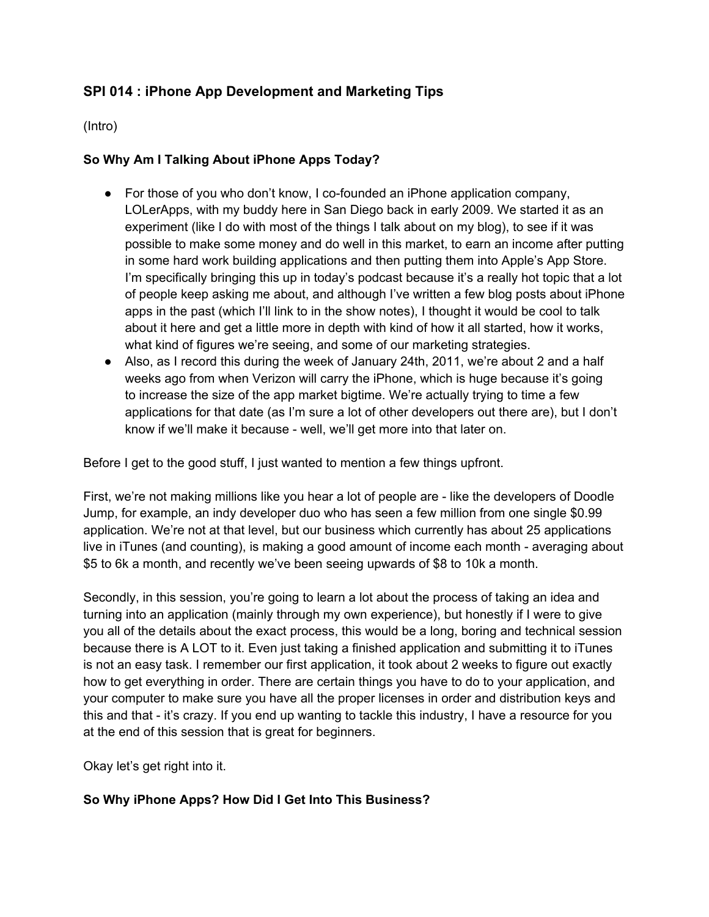# **SPI 014 : iPhone App Development and Marketing Tips**

(Intro)

### **So Why Am I Talking About iPhone Apps Today?**

- **●** For those of you who don't know, I co-founded an iPhone application company, LOLerApps, with my buddy here in San Diego back in early 2009. We started it as an experiment (like I do with most of the things I talk about on my blog), to see if it was possible to make some money and do well in this market, to earn an income after putting in some hard work building applications and then putting them into Apple's App Store. I'm specifically bringing this up in today's podcast because it's a really hot topic that a lot of people keep asking me about, and although I've written a few blog posts about iPhone apps in the past (which I'll link to in the show notes), I thought it would be cool to talk about it here and get a little more in depth with kind of how it all started, how it works, what kind of figures we're seeing, and some of our marketing strategies.
- **●** Also, as I record this during the week of January 24th, 2011, we're about 2 and a half weeks ago from when Verizon will carry the iPhone, which is huge because it's going to increase the size of the app market bigtime. We're actually trying to time a few applications for that date (as I'm sure a lot of other developers out there are), but I don't know if we'll make it because - well, we'll get more into that later on.

Before I get to the good stuff, I just wanted to mention a few things upfront.

First, we're not making millions like you hear a lot of people are - like the developers of Doodle Jump, for example, an indy developer duo who has seen a few million from one single \$0.99 application. We're not at that level, but our business which currently has about 25 applications live in iTunes (and counting), is making a good amount of income each month - averaging about \$5 to 6k a month, and recently we've been seeing upwards of \$8 to 10k a month.

Secondly, in this session, you're going to learn a lot about the process of taking an idea and turning into an application (mainly through my own experience), but honestly if I were to give you all of the details about the exact process, this would be a long, boring and technical session because there is A LOT to it. Even just taking a finished application and submitting it to iTunes is not an easy task. I remember our first application, it took about 2 weeks to figure out exactly how to get everything in order. There are certain things you have to do to your application, and your computer to make sure you have all the proper licenses in order and distribution keys and this and that - it's crazy. If you end up wanting to tackle this industry, I have a resource for you at the end of this session that is great for beginners.

Okay let's get right into it.

### **So Why iPhone Apps? How Did I Get Into This Business?**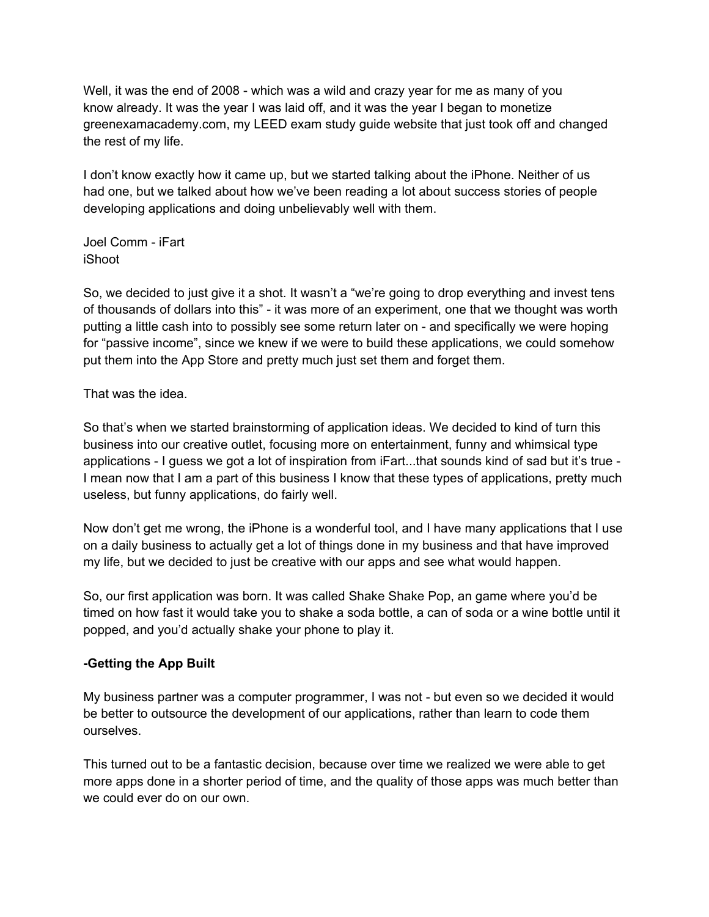Well, it was the end of 2008 - which was a wild and crazy year for me as many of you know already. It was the year I was laid off, and it was the year I began to monetize greenexamacademy.com, my LEED exam study guide website that just took off and changed the rest of my life.

I don't know exactly how it came up, but we started talking about the iPhone. Neither of us had one, but we talked about how we've been reading a lot about success stories of people developing applications and doing unbelievably well with them.

Joel Comm - iFart iShoot

So, we decided to just give it a shot. It wasn't a "we're going to drop everything and invest tens of thousands of dollars into this" - it was more of an experiment, one that we thought was worth putting a little cash into to possibly see some return later on - and specifically we were hoping for "passive income", since we knew if we were to build these applications, we could somehow put them into the App Store and pretty much just set them and forget them.

That was the idea.

So that's when we started brainstorming of application ideas. We decided to kind of turn this business into our creative outlet, focusing more on entertainment, funny and whimsical type applications - I guess we got a lot of inspiration from iFart...that sounds kind of sad but it's true - I mean now that I am a part of this business I know that these types of applications, pretty much useless, but funny applications, do fairly well.

Now don't get me wrong, the iPhone is a wonderful tool, and I have many applications that I use on a daily business to actually get a lot of things done in my business and that have improved my life, but we decided to just be creative with our apps and see what would happen.

So, our first application was born. It was called Shake Shake Pop, an game where you'd be timed on how fast it would take you to shake a soda bottle, a can of soda or a wine bottle until it popped, and you'd actually shake your phone to play it.

### **-Getting the App Built**

My business partner was a computer programmer, I was not - but even so we decided it would be better to outsource the development of our applications, rather than learn to code them ourselves.

This turned out to be a fantastic decision, because over time we realized we were able to get more apps done in a shorter period of time, and the quality of those apps was much better than we could ever do on our own.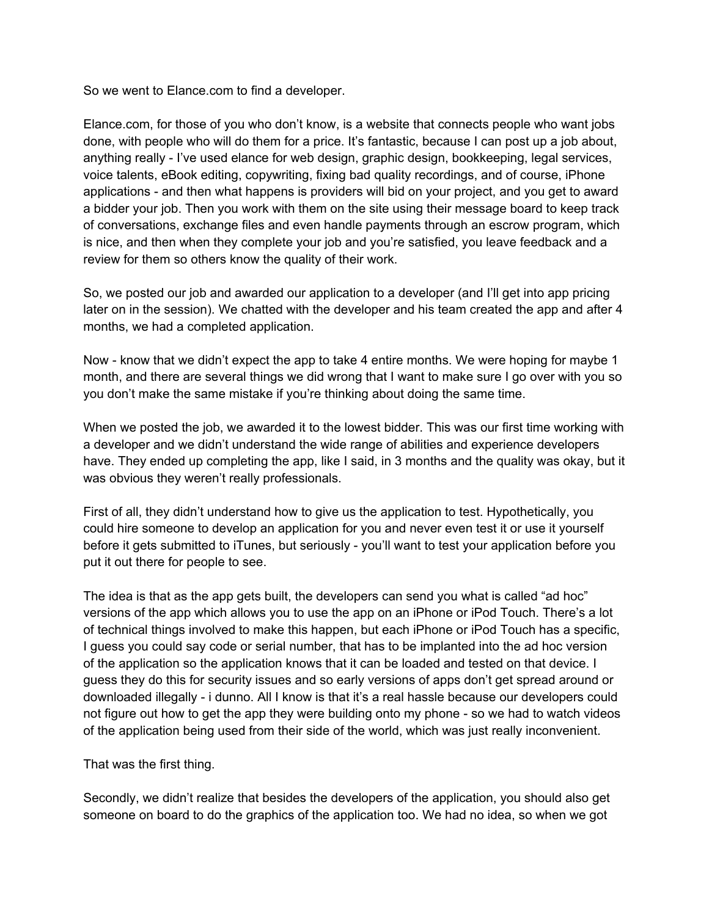So we went to Elance.com to find a developer.

Elance.com, for those of you who don't know, is a website that connects people who want jobs done, with people who will do them for a price. It's fantastic, because I can post up a job about, anything really - I've used elance for web design, graphic design, bookkeeping, legal services, voice talents, eBook editing, copywriting, fixing bad quality recordings, and of course, iPhone applications - and then what happens is providers will bid on your project, and you get to award a bidder your job. Then you work with them on the site using their message board to keep track of conversations, exchange files and even handle payments through an escrow program, which is nice, and then when they complete your job and you're satisfied, you leave feedback and a review for them so others know the quality of their work.

So, we posted our job and awarded our application to a developer (and I'll get into app pricing later on in the session). We chatted with the developer and his team created the app and after 4 months, we had a completed application.

Now - know that we didn't expect the app to take 4 entire months. We were hoping for maybe 1 month, and there are several things we did wrong that I want to make sure I go over with you so you don't make the same mistake if you're thinking about doing the same time.

When we posted the job, we awarded it to the lowest bidder. This was our first time working with a developer and we didn't understand the wide range of abilities and experience developers have. They ended up completing the app, like I said, in 3 months and the quality was okay, but it was obvious they weren't really professionals.

First of all, they didn't understand how to give us the application to test. Hypothetically, you could hire someone to develop an application for you and never even test it or use it yourself before it gets submitted to iTunes, but seriously - you'll want to test your application before you put it out there for people to see.

The idea is that as the app gets built, the developers can send you what is called "ad hoc" versions of the app which allows you to use the app on an iPhone or iPod Touch. There's a lot of technical things involved to make this happen, but each iPhone or iPod Touch has a specific, I guess you could say code or serial number, that has to be implanted into the ad hoc version of the application so the application knows that it can be loaded and tested on that device. I guess they do this for security issues and so early versions of apps don't get spread around or downloaded illegally - i dunno. All I know is that it's a real hassle because our developers could not figure out how to get the app they were building onto my phone - so we had to watch videos of the application being used from their side of the world, which was just really inconvenient.

#### That was the first thing.

Secondly, we didn't realize that besides the developers of the application, you should also get someone on board to do the graphics of the application too. We had no idea, so when we got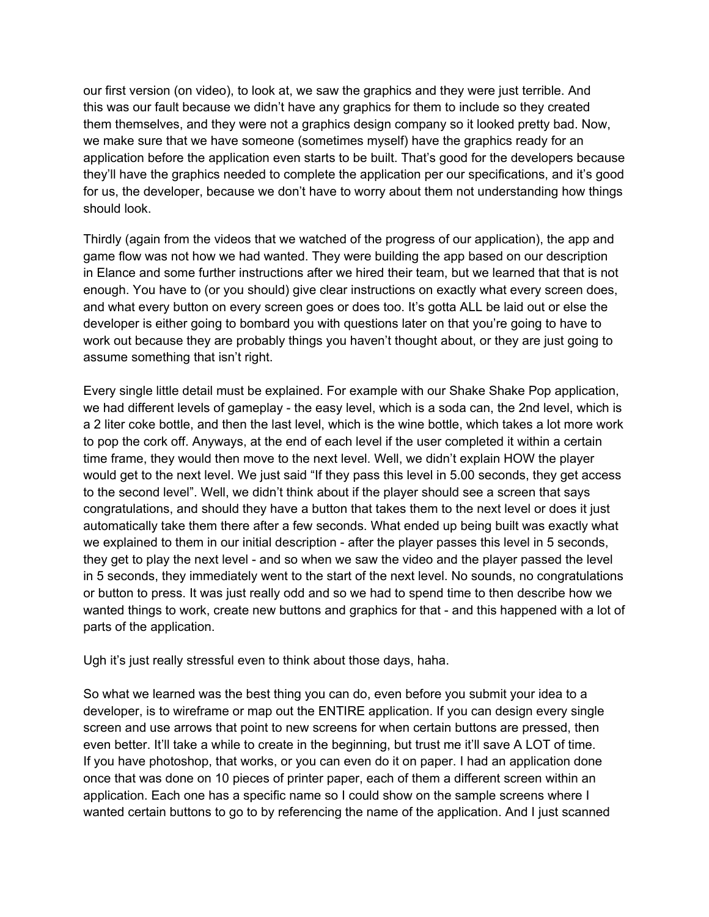our first version (on video), to look at, we saw the graphics and they were just terrible. And this was our fault because we didn't have any graphics for them to include so they created them themselves, and they were not a graphics design company so it looked pretty bad. Now, we make sure that we have someone (sometimes myself) have the graphics ready for an application before the application even starts to be built. That's good for the developers because they'll have the graphics needed to complete the application per our specifications, and it's good for us, the developer, because we don't have to worry about them not understanding how things should look.

Thirdly (again from the videos that we watched of the progress of our application), the app and game flow was not how we had wanted. They were building the app based on our description in Elance and some further instructions after we hired their team, but we learned that that is not enough. You have to (or you should) give clear instructions on exactly what every screen does, and what every button on every screen goes or does too. It's gotta ALL be laid out or else the developer is either going to bombard you with questions later on that you're going to have to work out because they are probably things you haven't thought about, or they are just going to assume something that isn't right.

Every single little detail must be explained. For example with our Shake Shake Pop application, we had different levels of gameplay - the easy level, which is a soda can, the 2nd level, which is a 2 liter coke bottle, and then the last level, which is the wine bottle, which takes a lot more work to pop the cork off. Anyways, at the end of each level if the user completed it within a certain time frame, they would then move to the next level. Well, we didn't explain HOW the player would get to the next level. We just said "If they pass this level in 5.00 seconds, they get access to the second level". Well, we didn't think about if the player should see a screen that says congratulations, and should they have a button that takes them to the next level or does it just automatically take them there after a few seconds. What ended up being built was exactly what we explained to them in our initial description - after the player passes this level in 5 seconds, they get to play the next level - and so when we saw the video and the player passed the level in 5 seconds, they immediately went to the start of the next level. No sounds, no congratulations or button to press. It was just really odd and so we had to spend time to then describe how we wanted things to work, create new buttons and graphics for that - and this happened with a lot of parts of the application.

Ugh it's just really stressful even to think about those days, haha.

So what we learned was the best thing you can do, even before you submit your idea to a developer, is to wireframe or map out the ENTIRE application. If you can design every single screen and use arrows that point to new screens for when certain buttons are pressed, then even better. It'll take a while to create in the beginning, but trust me it'll save A LOT of time. If you have photoshop, that works, or you can even do it on paper. I had an application done once that was done on 10 pieces of printer paper, each of them a different screen within an application. Each one has a specific name so I could show on the sample screens where I wanted certain buttons to go to by referencing the name of the application. And I just scanned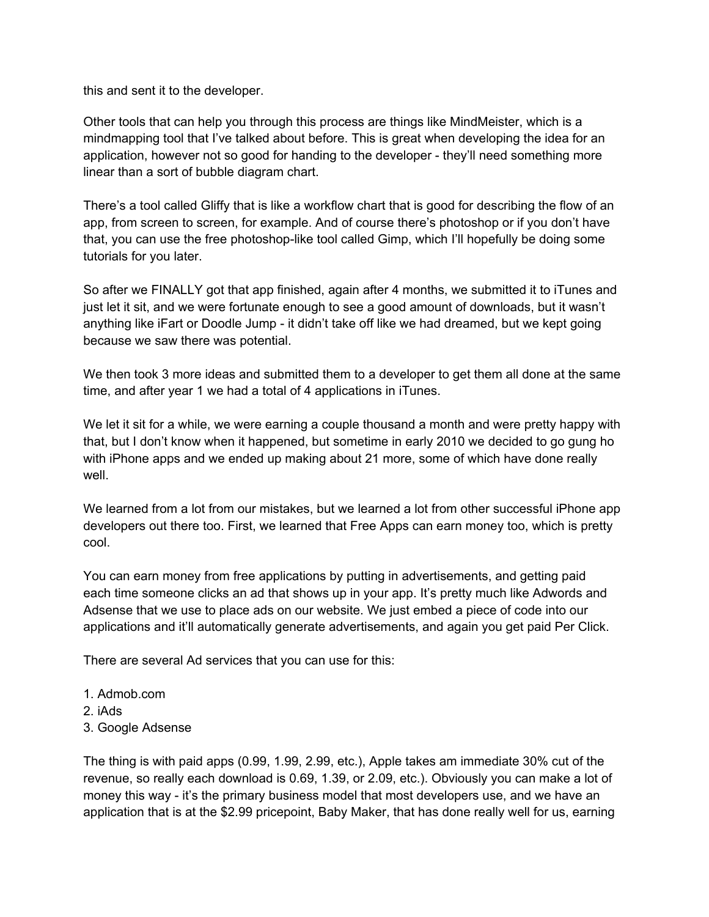this and sent it to the developer.

Other tools that can help you through this process are things like MindMeister, which is a mindmapping tool that I've talked about before. This is great when developing the idea for an application, however not so good for handing to the developer - they'll need something more linear than a sort of bubble diagram chart.

There's a tool called Gliffy that is like a workflow chart that is good for describing the flow of an app, from screen to screen, for example. And of course there's photoshop or if you don't have that, you can use the free photoshop-like tool called Gimp, which I'll hopefully be doing some tutorials for you later.

So after we FINALLY got that app finished, again after 4 months, we submitted it to iTunes and just let it sit, and we were fortunate enough to see a good amount of downloads, but it wasn't anything like iFart or Doodle Jump - it didn't take off like we had dreamed, but we kept going because we saw there was potential.

We then took 3 more ideas and submitted them to a developer to get them all done at the same time, and after year 1 we had a total of 4 applications in iTunes.

We let it sit for a while, we were earning a couple thousand a month and were pretty happy with that, but I don't know when it happened, but sometime in early 2010 we decided to go gung ho with iPhone apps and we ended up making about 21 more, some of which have done really well

We learned from a lot from our mistakes, but we learned a lot from other successful iPhone app developers out there too. First, we learned that Free Apps can earn money too, which is pretty cool.

You can earn money from free applications by putting in advertisements, and getting paid each time someone clicks an ad that shows up in your app. It's pretty much like Adwords and Adsense that we use to place ads on our website. We just embed a piece of code into our applications and it'll automatically generate advertisements, and again you get paid Per Click.

There are several Ad services that you can use for this:

- 1. Admob.com
- 2. iAds
- 3. Google Adsense

The thing is with paid apps (0.99, 1.99, 2.99, etc.), Apple takes am immediate 30% cut of the revenue, so really each download is 0.69, 1.39, or 2.09, etc.). Obviously you can make a lot of money this way - it's the primary business model that most developers use, and we have an application that is at the \$2.99 pricepoint, Baby Maker, that has done really well for us, earning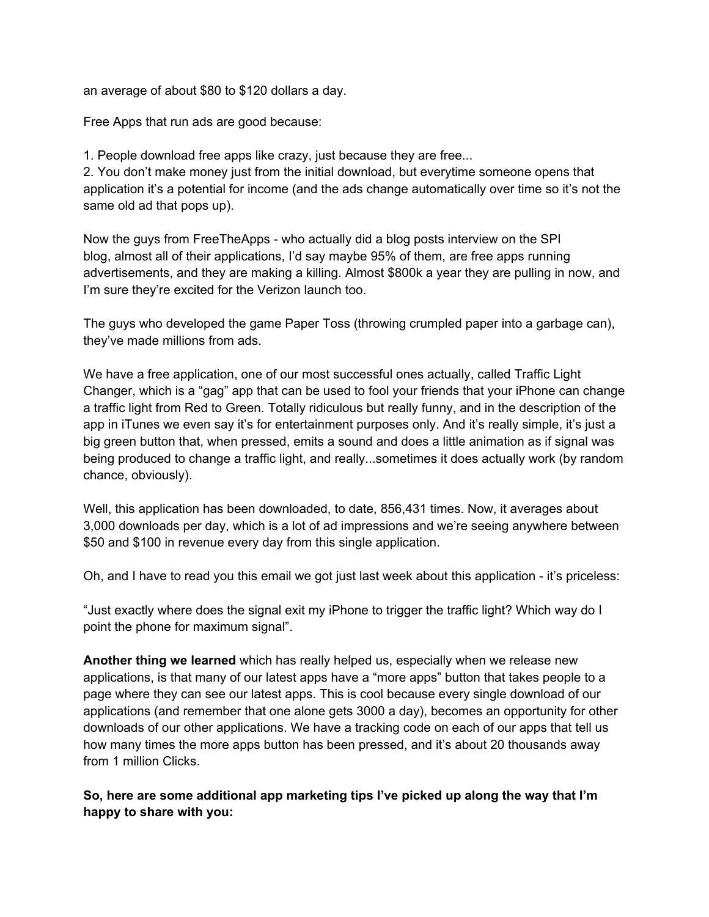an average of about \$80 to \$120 dollars a day.

Free Apps that run ads are good because:

1. People download free apps like crazy, just because they are free...

2. You don't make money just from the initial download, but everytime someone opens that application it's a potential for income (and the ads change automatically over time so it's not the same old ad that pops up).

Now the guys from FreeTheApps - who actually did a blog posts interview on the SPI blog, almost all of their applications, I'd say maybe 95% of them, are free apps running advertisements, and they are making a killing. Almost \$800k a year they are pulling in now, and I'm sure they're excited for the Verizon launch too.

The guys who developed the game Paper Toss (throwing crumpled paper into a garbage can), they've made millions from ads.

We have a free application, one of our most successful ones actually, called Traffic Light Changer, which is a "gag" app that can be used to fool your friends that your iPhone can change a traffic light from Red to Green. Totally ridiculous but really funny, and in the description of the app in iTunes we even say it's for entertainment purposes only. And it's really simple, it's just a big green button that, when pressed, emits a sound and does a little animation as if signal was being produced to change a traffic light, and really...sometimes it does actually work (by random chance, obviously).

Well, this application has been downloaded, to date, 856,431 times. Now, it averages about 3,000 downloads per day, which is a lot of ad impressions and we're seeing anywhere between \$50 and \$100 in revenue every day from this single application.

Oh, and I have to read you this email we got just last week about this application - it's priceless:

"Just exactly where does the signal exit my iPhone to trigger the traffic light? Which way do I point the phone for maximum signal".

**Another thing we learned** which has really helped us, especially when we release new applications, is that many of our latest apps have a "more apps" button that takes people to a page where they can see our latest apps. This is cool because every single download of our applications (and remember that one alone gets 3000 a day), becomes an opportunity for other downloads of our other applications. We have a tracking code on each of our apps that tell us how many times the more apps button has been pressed, and it's about 20 thousands away from 1 million Clicks.

**So, here are some additional app marketing tips I've picked up along the way that I'm happy to share with you:**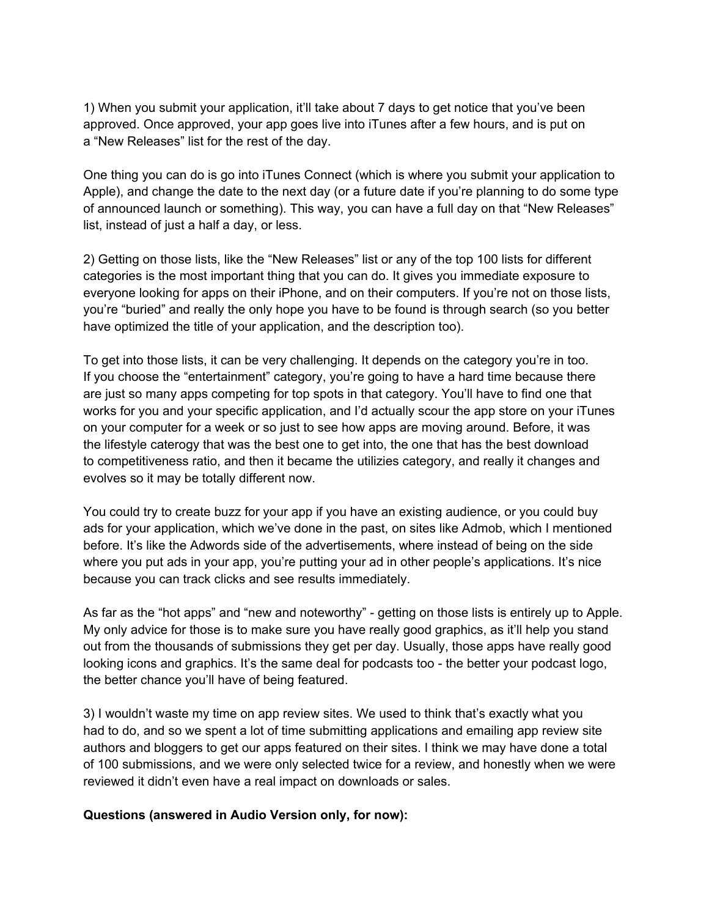1) When you submit your application, it'll take about 7 days to get notice that you've been approved. Once approved, your app goes live into iTunes after a few hours, and is put on a "New Releases" list for the rest of the day.

One thing you can do is go into iTunes Connect (which is where you submit your application to Apple), and change the date to the next day (or a future date if you're planning to do some type of announced launch or something). This way, you can have a full day on that "New Releases" list, instead of just a half a day, or less.

2) Getting on those lists, like the "New Releases" list or any of the top 100 lists for different categories is the most important thing that you can do. It gives you immediate exposure to everyone looking for apps on their iPhone, and on their computers. If you're not on those lists, you're "buried" and really the only hope you have to be found is through search (so you better have optimized the title of your application, and the description too).

To get into those lists, it can be very challenging. It depends on the category you're in too. If you choose the "entertainment" category, you're going to have a hard time because there are just so many apps competing for top spots in that category. You'll have to find one that works for you and your specific application, and I'd actually scour the app store on your iTunes on your computer for a week or so just to see how apps are moving around. Before, it was the lifestyle caterogy that was the best one to get into, the one that has the best download to competitiveness ratio, and then it became the utilizies category, and really it changes and evolves so it may be totally different now.

You could try to create buzz for your app if you have an existing audience, or you could buy ads for your application, which we've done in the past, on sites like Admob, which I mentioned before. It's like the Adwords side of the advertisements, where instead of being on the side where you put ads in your app, you're putting your ad in other people's applications. It's nice because you can track clicks and see results immediately.

As far as the "hot apps" and "new and noteworthy" - getting on those lists is entirely up to Apple. My only advice for those is to make sure you have really good graphics, as it'll help you stand out from the thousands of submissions they get per day. Usually, those apps have really good looking icons and graphics. It's the same deal for podcasts too - the better your podcast logo, the better chance you'll have of being featured.

3) I wouldn't waste my time on app review sites. We used to think that's exactly what you had to do, and so we spent a lot of time submitting applications and emailing app review site authors and bloggers to get our apps featured on their sites. I think we may have done a total of 100 submissions, and we were only selected twice for a review, and honestly when we were reviewed it didn't even have a real impact on downloads or sales.

#### **Questions (answered in Audio Version only, for now):**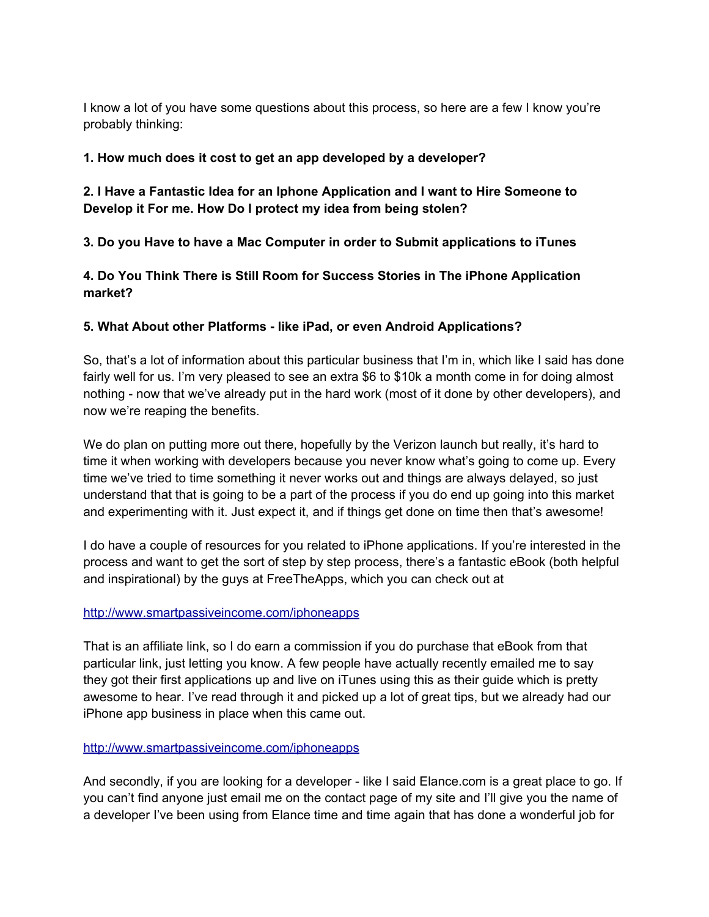I know a lot of you have some questions about this process, so here are a few I know you're probably thinking:

### **1. How much does it cost to get an app developed by a developer?**

**2. I Have a Fantastic Idea for an Iphone Application and I want to Hire Someone to Develop it For me. How Do I protect my idea from being stolen?**

**3. Do you Have to have a Mac Computer in order to Submit applications to iTunes**

**4. Do You Think There is Still Room for Success Stories in The iPhone Application market?**

## **5. What About other Platforms - like iPad, or even Android Applications?**

So, that's a lot of information about this particular business that I'm in, which like I said has done fairly well for us. I'm very pleased to see an extra \$6 to \$10k a month come in for doing almost nothing - now that we've already put in the hard work (most of it done by other developers), and now we're reaping the benefits.

We do plan on putting more out there, hopefully by the Verizon launch but really, it's hard to time it when working with developers because you never know what's going to come up. Every time we've tried to time something it never works out and things are always delayed, so just understand that that is going to be a part of the process if you do end up going into this market and experimenting with it. Just expect it, and if things get done on time then that's awesome!

I do have a couple of resources for you related to iPhone applications. If you're interested in the process and want to get the sort of step by step process, there's a fantastic eBook (both helpful and inspirational) by the guys at FreeTheApps, which you can check out at

### [http](http://www.google.com/url?q=http%3A%2F%2Fwww.smartpassiveincome.com%2Fiphoneapps&sa=D&sntz=1&usg=AFQjCNG_kgZtRIGJo4iapKeYjHhIpMrAIA)://w[ww](http://www.google.com/url?q=http%3A%2F%2Fwww.smartpassiveincome.com%2Fiphoneapps&sa=D&sntz=1&usg=AFQjCNG_kgZtRIGJo4iapKeYjHhIpMrAIA).[smart](http://www.google.com/url?q=http%3A%2F%2Fwww.smartpassiveincome.com%2Fiphoneapps&sa=D&sntz=1&usg=AFQjCNG_kgZtRIGJo4iapKeYjHhIpMrAIA)pas[siveincome.com/iphone](http://www.google.com/url?q=http%3A%2F%2Fwww.smartpassiveincome.com%2Fiphoneapps&sa=D&sntz=1&usg=AFQjCNG_kgZtRIGJo4iapKeYjHhIpMrAIA)apps

That is an affiliate link, so I do earn a commission if you do purchase that eBook from that particular link, just letting you know. A few people have actually recently emailed me to say they got their first applications up and live on iTunes using this as their guide which is pretty awesome to hear. I've read through it and picked up a lot of great tips, but we already had our iPhone app business in place when this came out.

### [http](http://www.google.com/url?q=http%3A%2F%2Fwww.smartpassiveincome.com%2Fiphoneapps&sa=D&sntz=1&usg=AFQjCNG_kgZtRIGJo4iapKeYjHhIpMrAIA)://w[ww](http://www.google.com/url?q=http%3A%2F%2Fwww.smartpassiveincome.com%2Fiphoneapps&sa=D&sntz=1&usg=AFQjCNG_kgZtRIGJo4iapKeYjHhIpMrAIA).[smart](http://www.google.com/url?q=http%3A%2F%2Fwww.smartpassiveincome.com%2Fiphoneapps&sa=D&sntz=1&usg=AFQjCNG_kgZtRIGJo4iapKeYjHhIpMrAIA)pas[siveincome.com/iphone](http://www.google.com/url?q=http%3A%2F%2Fwww.smartpassiveincome.com%2Fiphoneapps&sa=D&sntz=1&usg=AFQjCNG_kgZtRIGJo4iapKeYjHhIpMrAIA)apps

And secondly, if you are looking for a developer - like I said Elance.com is a great place to go. If you can't find anyone just email me on the contact page of my site and I'll give you the name of a developer I've been using from Elance time and time again that has done a wonderful job for